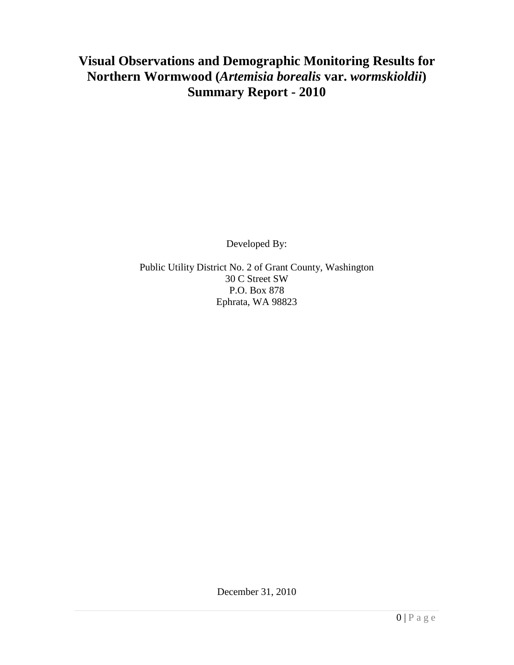## **Visual Observations and Demographic Monitoring Results for Northern Wormwood (***Artemisia borealis* **var.** *wormskioldii***) Summary Report - 2010**

Developed By:

Public Utility District No. 2 of Grant County, Washington 30 C Street SW P.O. Box 878 Ephrata, WA 98823

December 31, 2010